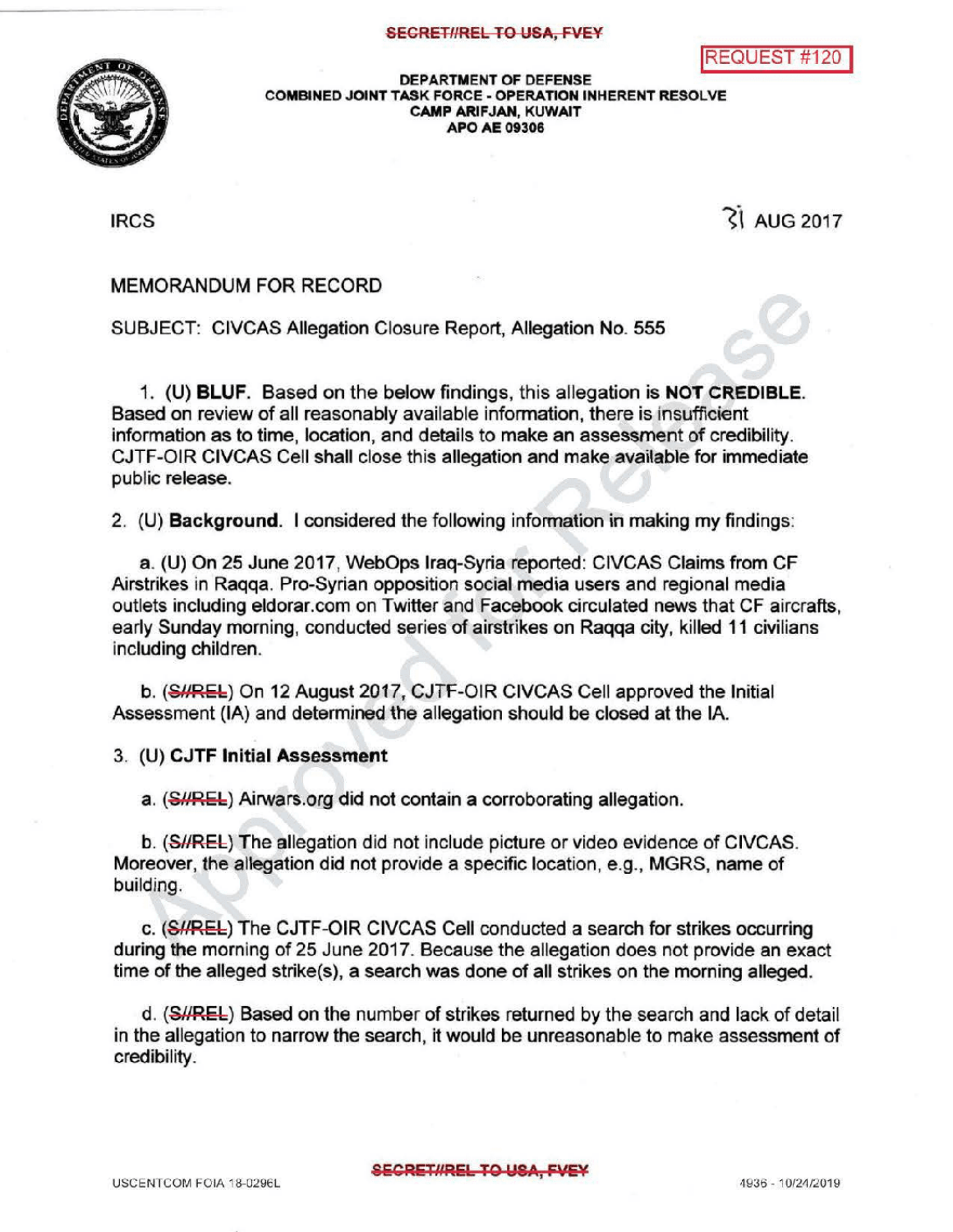

DEPARTMENT OF DEFENSE COMBINED JOINT TASK FORCE - OPERATION INHERENT RESOLVE CAMP ARIFJAN, KUWAIT **APO AE 09306** 

 $\text{IRCS}$   $\text{RCS}$ 

## MEMORANDUM FOR RECORD

SUBJECT: CIVCAS Allegation Closure Report, Allegation No. 555

1. (U) BLUF. Based on the below findings, this allegation is NOT CREDIBLE. Based on review of allreasonably available information, there is insufficient information as to time, location, and details to make an assessment of credibility . CJTF-OIR CIVCAS Cell shall close this allegation and make available for immediate public release.

2. (U) Background. I considered the following information in making my findings:

a. (U) On 25 June 2017, WebOps Iraq-Syria reported: CIVCAS Claims from CF Airstrikes in Raqqa. Pro-Syrian opposition social media users and regional media outlets including eldorar.com on Twitter and Facebook circulated news that CF aircrafts, early Sunday morning, conducted series of airstrikes on Ragga city, killed 11 civilians including children.

b. (SHREL) On 12 August 2017, CJTF-OIR CIVCAS Cell approved the Initial Assessment (IA) and determined the allegation should be closed at the IA.

3. (U) CJTF Initial Assessment

a. (SHREL) Airwars org did not contain a corroborating allegation.

b. (SHREL) The allegation did not include picture or video evidence of CIVCAS. Moreover, the allegation did not provide a specific location, e.g., MGRS, name of building

c. (SI/REL) The CJTF-OIR CIVCAS Cell conducted a search for strikes occurring during the morning of 25 June 2017. Because the allegation does not provide an exact time of the alleged strike(s), a search was done of all strikes on the morning alleged.

d. (SHREL) Based on the number of strikes returned by the search and lack of detail in the allegation to narrow the search, it would be unreasonable to make assessment of credibility.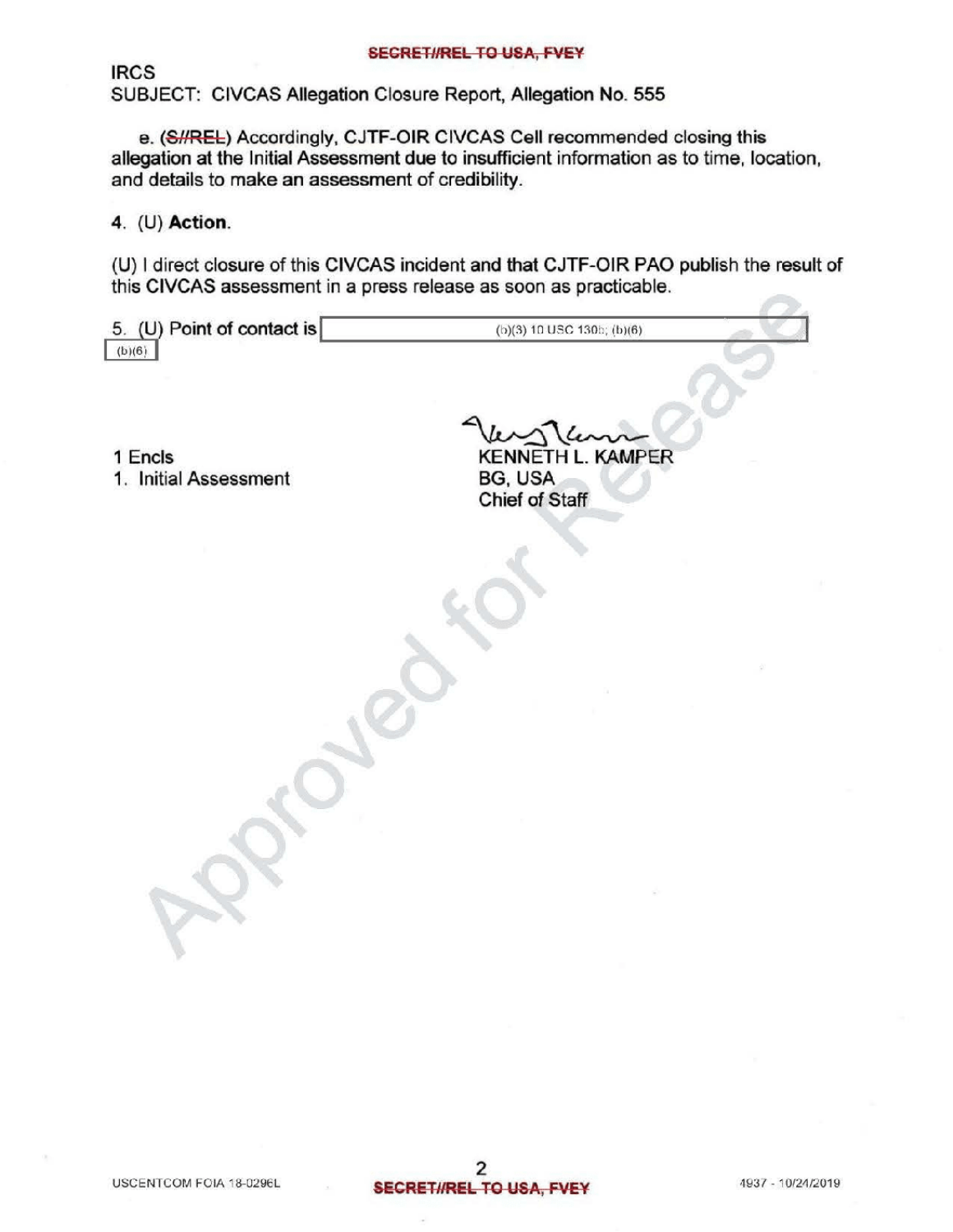## SEGRETI/REL TO USA, FVEY

IRCS SUBJECT: CIVCAS Allegation Closure Report, Allegation No. 555

e. (S//REL) Accordingly, CJTF-OIR CIVCAS Cell recommended closing this allegation at the Initial Assessment due to insufficient information as to time, location, and details to make an assessment of credibility.

4. (U) Action.

(U) I direct closure of this CIVCAS incident and that CJTF-OIR PAO publish the result of this CIVCAS assessment in a press release as soon as practicable.

| 5. (U) Point of contact is | (b)(3) 10 USC 130b; (b)(6) |
|----------------------------|----------------------------|
| (b)(6)                     |                            |
|                            |                            |

<sup>1</sup> Encls

1. Initial Assessment BG, USA<br>Chief of Staff BG, USA<br>Chief of Staff

 $R$